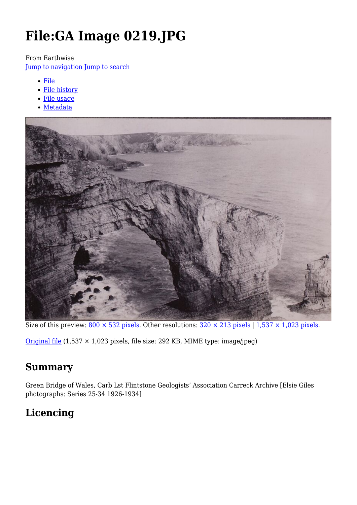# **File:GA Image 0219.JPG**

From Earthwise

[Jump to navigation](#page--1-0) [Jump to search](#page--1-0)

- [File](#page--1-0)
- [File history](#page--1-0)
- [File usage](#page--1-0)
- [Metadata](#page--1-0)



Size of this preview:  $800 \times 532$  pixels. Other resolutions:  $320 \times 213$  pixels | 1,537  $\times$  1,023 pixels.

[Original file](http://earthwise.bgs.ac.uk/images/e/e0/GA_Image_0219.JPG) (1,537 × 1,023 pixels, file size: 292 KB, MIME type: image/jpeg)

# **Summary**

Green Bridge of Wales, Carb Lst Flintstone Geologists' Association Carreck Archive [Elsie Giles photographs: Series 25-34 1926-1934]

# **Licencing**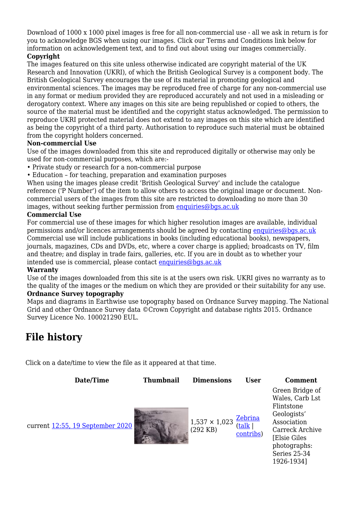Download of 1000 x 1000 pixel images is free for all non-commercial use - all we ask in return is for you to acknowledge BGS when using our images. Click our Terms and Conditions link below for information on acknowledgement text, and to find out about using our images commercially.

#### **Copyright**

The images featured on this site unless otherwise indicated are copyright material of the UK Research and Innovation (UKRI), of which the British Geological Survey is a component body. The British Geological Survey encourages the use of its material in promoting geological and environmental sciences. The images may be reproduced free of charge for any non-commercial use in any format or medium provided they are reproduced accurately and not used in a misleading or derogatory context. Where any images on this site are being republished or copied to others, the source of the material must be identified and the copyright status acknowledged. The permission to reproduce UKRI protected material does not extend to any images on this site which are identified as being the copyright of a third party. Authorisation to reproduce such material must be obtained from the copyright holders concerned.

#### **Non-commercial Use**

Use of the images downloaded from this site and reproduced digitally or otherwise may only be used for non-commercial purposes, which are:-

- Private study or research for a non-commercial purpose
- Education for teaching, preparation and examination purposes

When using the images please credit 'British Geological Survey' and include the catalogue reference ('P Number') of the item to allow others to access the original image or document. Noncommercial users of the images from this site are restricted to downloading no more than 30 images, without seeking further permission from [enquiries@bgs.ac.uk](mailto:enquiries@bgs.ac.uk)

#### **Commercial Use**

For commercial use of these images for which higher resolution images are available, individual permissions and/or licences arrangements should be agreed by contacting [enquiries@bgs.ac.uk](mailto:enquiries@bgs.ac.uk) Commercial use will include publications in books (including educational books), newspapers, journals, magazines, CDs and DVDs, etc, where a cover charge is applied; broadcasts on TV, film and theatre; and display in trade fairs, galleries, etc. If you are in doubt as to whether your intended use is commercial, please contact [enquiries@bgs.ac.uk](mailto:enquiries@bgs.ac.uk)

#### **Warranty**

Use of the images downloaded from this site is at the users own risk. UKRI gives no warranty as to the quality of the images or the medium on which they are provided or their suitability for any use. **Ordnance Survey topography**

Maps and diagrams in Earthwise use topography based on Ordnance Survey mapping. The National Grid and other Ordnance Survey data ©Crown Copyright and database rights 2015. Ordnance Survey Licence No. 100021290 EUL.

# **File history**

Click on a date/time to view the file as it appeared at that time.

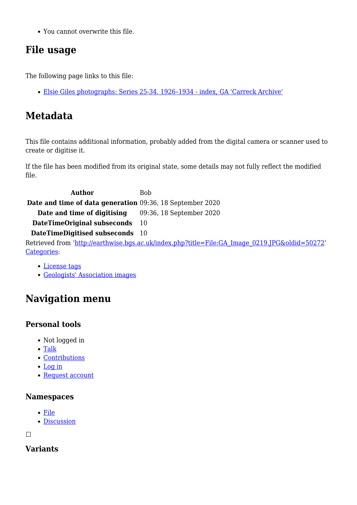You cannot overwrite this file.

# **File usage**

The following page links to this file:

[Elsie Giles photographs: Series 25-34. 1926–1934 - index, GA 'Carreck Archive'](http://earthwise.bgs.ac.uk/index.php/Elsie_Giles_photographs:_Series_25-34._1926%E2%80%931934_-_index,_GA_%27Carreck_Archive%27)

# **Metadata**

This file contains additional information, probably added from the digital camera or scanner used to create or digitise it.

If the file has been modified from its original state, some details may not fully reflect the modified file.

**Author** Bob **Date and time of data generation** 09:36, 18 September 2020 **Date and time of digitising** 09:36, 18 September 2020 **DateTimeOriginal subseconds** 10 **DateTimeDigitised subseconds** 10 Retrieved from ['http://earthwise.bgs.ac.uk/index.php?title=File:GA\\_Image\\_0219.JPG&oldid=50272](http://earthwise.bgs.ac.uk/index.php?title=File:GA_Image_0219.JPG&oldid=50272)' [Categories:](http://earthwise.bgs.ac.uk/index.php/Special:Categories)

#### [License tags](http://earthwise.bgs.ac.uk/index.php/Category:License_tags)

[Geologists' Association images](http://earthwise.bgs.ac.uk/index.php/Category:Geologists%27_Association_images)

# **Navigation menu**

## **Personal tools**

- Not logged in
- [Talk](http://earthwise.bgs.ac.uk/index.php/Special:MyTalk)
- [Contributions](http://earthwise.bgs.ac.uk/index.php/Special:MyContributions)
- [Log in](http://earthwise.bgs.ac.uk/index.php?title=Special:UserLogin&returnto=File%3AGA+Image+0219.JPG&returntoquery=action%3Dmpdf)
- [Request account](http://earthwise.bgs.ac.uk/index.php/Special:RequestAccount)

### **Namespaces**

- [File](http://earthwise.bgs.ac.uk/index.php/File:GA_Image_0219.JPG)
- [Discussion](http://earthwise.bgs.ac.uk/index.php?title=File_talk:GA_Image_0219.JPG&action=edit&redlink=1)

 $\Box$ 

# **Variants**